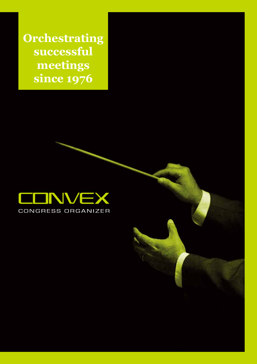**Orchestrating successful meetings since 1976**

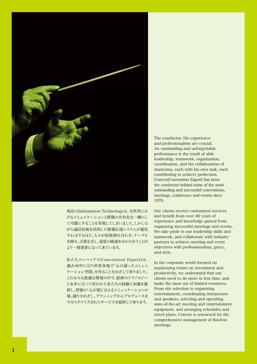

現在のInformation Technologyは、全世界にお けるコミュニケーションと情報の共有化を一瞬にし て可能にすることを実現してしまいました。しかしな がら通信技術を活用した情報伝達システムが進化 すればするほど、人々が直接顔を合わせ、テーブル を囲み、言葉を交し、意思の疎通をはかり合うことが より一層重要になって来ています。

私たちコンベックス(Convention-Expert)は、 過去40年に亘り世界各地で「心の通ったコミュニ ケーション空間」を作ることをめざして参りました。 これからも最適な環境の中で、最新のテクノロジー と永年に亘って培われた私たちの経験と知識を駆 使し、皆様の「心が感じ合えるコミュニケーションの 場」創りをめざし、プランニングからプロデュースま でカスタマイズされたサービスを提供して参ります。

The conductor. His experience and professionalism are crucial. An outstanding and unforgettable performance is the result of able leadership, teamwork, organization, coordination, and the collaboration of musicians, each with his own task, each contributing to achieve perfection. Convex(Convention Expert) has been the conductor behind some of the most outstanding and successful conventions, meetings, conference and events since 1976.

Our clients receive customized services and benefit from over 40 years of experience and knowledge gained from organizing successful meetings and events. We take pride in our leadership skills and teamwork, and collaborate with industry partners to achieve meeting and event objectives with professionalism, grace, and style.

In the corporate world focused on maximizing return on investment and productivity, we understand that our clients need to do more in less time, and make the most out of limited resources. From site selection to organizing entertainment, coordinating interpreters and speakers, selecting and operating state-of-the-art meeting and entertainment equipment, and arranging schedules and travel plans, Convex is renowned for the comprehensive management of flawless meetings.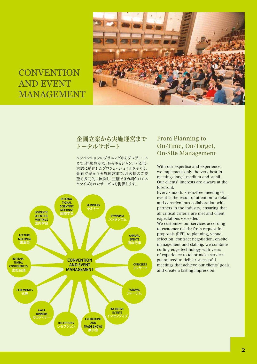

# **CONVENTION** AND EVENT MANAGEMENT

## 企画立案から実施運営まで トータルサポート

コンベンションのプラニングからプロデュース まで、経験豊かな、あらゆるジャンル・文化・ 言語に精通したプロフェッショナルをそろえ、 企画立案から実施運営まで、お客様のご要 望を多元的に展開し、正確できめ細かいカス タマイズされたサービスを提供します。



## From Planning to On-Time, On-Target, On-Site Management

With our expertise and experience, we implement only the very best in meetings-large, medium and small. Our clients' interests are always at the forefront.

Every smooth, stress-free meeting or event is the result of attention to detail and conscientious collaboration with partners in the industry, ensuring that all critical criteria are met and client expectations exceeded.

We customize our services according to customer needs; from request for proposals (RFP) to planning, venue selection, contract negotiation, on-site management and staffing, we combine cutting edge technology with years of experience to tailor-make services guaranteed to deliver successful meetings that achieve our clients' goals and create a lasting impression.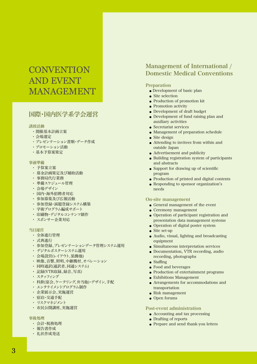# **CONVENTION** AND EVENT MANAGEMENT

# 国際・国内医学系学会運営

#### 誘致活動

- ・ 開催基本計画立案
- ・ 会場選定
- ・ プレゼンテーション書類・データ作成
- ・ プロモーション活動
- ・ 基本予算案策定

#### 事前準備

- ・ 予算案立案
- ・ 募金計画策定及び補助活動
- ・ 事務局代行業務
- ・ 準備スケジュール管理
- ・ 会場デザイン
- ・ 国内・海外招聘者対応
- ・ 参加募集及び広報活動
- 参加登録・演題登録システム構築
- ・ 学術プログラム編成サポート
- 印刷物・デジタルコンテンツ制作
- ・ スポンサー企業対応

#### 当日運営

- ・ 全体進行管理
- ・ 式典進行
- ・ 参加登録、プレゼンテーションデータ管理システム運用
- ・ デジタルポスターシステム運用
- ・ 会場設営(レイアウト、装飾他)
- ・ 映像、音響、照明、中継機材、オペレーション
- ・ 同時通訳(通訳者、同通システム)
- ・ 記録(VTR収録、録音、写真)
- ・ スタッフィング
- ・ 料飲(宴会、ケータリング、弁当他)・デザイン、手配
- ・ エンタテイメントプログラム制作
- ・ 企業展示会、実施運営
- ・ 宿泊・交通手配
- ・ リスクマネジメント
- ・ 市民公開講座、実施運営

### 事後処理

- ・ 会計・税務処理
- ・ 報告書作成
- ・ 礼状作成発送

## Management of International / Domestic Medical Conventions

## Preparation

- Development of basic plan
- Site selection
- Production of promotion kit
- Promotion activity
- Development of draft budget
- Development of fund raising plan and auxiliary activities
- Secretariat services
- Management of preparation schedule
- Site design
- Attending to invitees from within and outside Japan
- $\bullet$  Advertisement and publicity
- Building registration system of participants and abstracts
- $\bullet$  Support for drawing up of scientific program
- Production of printed and digital contents
- Responding to sponsor organization's needs

### On-site management

- $\bullet$  General management of the event
- $\bullet$  Ceremony management
- Operation of participant registration and presentation data management systems
- Operation of digital poster system
- Site set-up
- Audio, visual, lighting and broadcasting equipment
- Simultaneous interpretation services
- Documentation, VTR recording, audio recording, photographs
- Staffing
- Food and beverages
- Production of entertainment programs
- Exhibitions Management
- Arrangements for accommodations and transportation
- Risk management
- Open forums

#### Post-event administration

- Accounting and tax processing
- Drafting of reports
- Prepare and send thank-you letters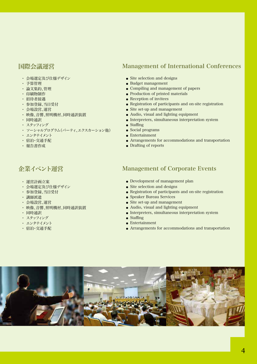# 国際会議運営

- ・ 会場選定及び仕様デザイン
- ・ 予算管理
- ・ 論文集約、管理
- ・ 印刷物制作
- ・ 招待者接遇
- ・ 参加登録、当日受付
- ・ 会場設営、運営
- ・ 映像、音響、照明機材、同時通訳装置
- ・ 同時通訳
- ・ スタッフィング
- ・ ソーシャルプログラム(パーティ、エクスカーション他)
- ・ エンタテイメント
- ・ 宿泊・交通手配
- ・ 報告書作成

# 企業イベント運営

- ・ 運営計画立案
- ・ 会場選定及び仕様デザイン
- ・ 参加登録、当日受付
- ・ 講師派遣
- ・ 会場設営、運営
- ・ 映像、音響、照明機材、同時通訳装置
- ・ 同時通訳
- ・ スタッフィング
- ・ エンタテイメント
- ・ 宿泊・交通手配

## Management of International Conferences

- Site selection and designs
- Budget management
- Compiling and management of papers
- Production of printed materials
- Reception of invitees
- Registration of participants and on-site registration
- Site set-up and management
- Audio, visual and lighting equipment
- Interpreters, simultaneous interpretation system
- Staffing
- Social programs
- Entertainment
- Arrangements for accommodations and transportation
- Drafting of reports

## Management of Corporate Events

- Development of management plan
- Site selection and designs
- Registration of participants and on-site registration
- Speaker Bureau Services
- Site set-up and management
- Audio, visual and lighting equipment
- $\bullet$  Interpreters, simultaneous interpretation system
- $\bullet$  Staffing
- Entertainment
- Arrangements for accommodations and transportation

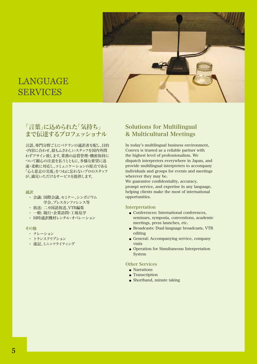

# LANGUAGE SERVICES

## 「言葉」に込められた「気持ち」 まで伝達するプロフェッショナル

言語、専門分野ごとにベテランの通訳者を配し、目的 ・内容に合わせ、最もふさわしいスタッフを国内外問 わずアサイン致します。業務の品質管理・機密保持に ついて細心の注意を払うとともに、多様な要望に迅 速・柔軟に対応し、コミュニケーションの原点である 「心と意志の交流」をつねに忘れないプロのスタッフ が、満足いただけるサービスを提供します。

#### 通訳

- ・ 会議: 国際会議、セミナー、シンポジウム 学会、プレスカンファレンス等
- ・ 放送: 二カ国語放送、VTR編集
- 一般: 随行・企業訪問・工場見学
- ・ 同時通訳機材レンタル・オペレーション

#### その他

- ・ ナレーション
- ・ トランスクリプション
- ・ 速記、ミニッツライティング

## Solutions for Multilingual & Multicultural Meetings

In today's multilingual business environment, Convex is trusted as a reliable partner with the highest level of professionalism. We dispatch interpreters everywhere in Japan, and provide multilingual interpreters to accompany individuals and groups for events and meetings wherever they may be.

We guarantee confidentiality, accuracy, prompt service, and expertise in any language, helping clients make the most of international opportunities.

#### Interpretation

- Conferences: International conferences, seminars, symposia, conventions, academic meetings, press launches, etc.
- Broadcasts: Dual-language broadcasts, VTR editing
- General: Accompanying service, company visits
- Operation for Simultaneous Interpretation System

## Other Services

- Narrations
- Transcription
- Shorthand, minute taking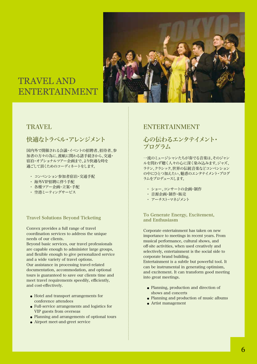

# TRAVEL AND ENTERTAINMENT

# **TRAVEL**

# 快適なトラベル・アレンジメント

国内外で開催される会議・イベントの招聘者、招待者、参 加者の方々の為に、渡航に関わる諸手続きから、交通・ 宿泊・オプショナルツアー企画まで、より快適な時を 過ごして頂くためのコーディネートをします。

- ・ コンベンション参加者宿泊・交通手配
- ・ 海外VIP招聘に伴う手配
- ・ 各種ツアー企画・立案・手配
- ・ 空港ミーティングサービス

## Travel Solutions Beyond Ticketing

Convex provides a full range of travel coordination services to address the unique needs of our clients.

Beyond basic services, our travel professionals are capable enough to administer large groups, and flexible enough to give personalized service and a wide variety of travel options.

Our assistance in processing travel-related documentation, accommodation, and optional tours is guaranteed to save our clients time and meet travel requirements speedily, efficiently, and cost-effectively.

- Hotel and transport arrangements for conference attendees
- Full-service arrangements and logistics for VIP guests from overseas
- Planning and arrangements of optional tours
- Airport meet-and-greet service

## ENTERTAINMENT

# 心の伝わるエンタテイメント・ プログラム

一流のミュージシャンたちが奏でる音楽は、そのジャン ルを問わず聴く人々の心に深く染み込みます。ジャズ、 ラテン、クラシック、世界の伝統音楽などコンベンション の中にひとつ加えたい、魅惑のエンタテイメント・プログ ラムをプロデュースします。

- ・ ショー、コンサートの企画・制作
- ・ 音源企画・制作・販売
- ・ アーチスト・マネジメント

## To Generate Energy, Excitement, and Enthusiasm

Corporate entertainment has taken on new importance to meetings in recent years. From musical performance, cultural shows, and off-site activities, when used creatively and selectively, entertainment is the social side to corporate brand building. Entertainment is a subtle but powerful tool. It can be instrumental in generating optimism, and excitement. It can transform good meeting into great meetings.

- Planning, production and direction of shows and concerts
- Planning and production of music albums
- Artist management